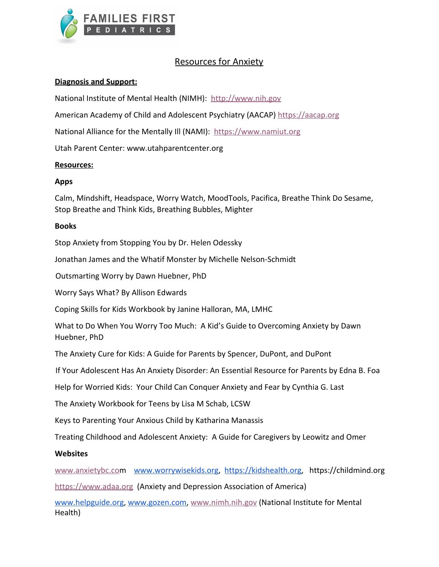

# Resources for Anxiety

## **Diagnosis and Support:**

National Institute of Mental Health (NIMH): [http://www.nih.gov](http://www.nih.gov/)

American Academy of Child and Adolescent Psychiatry (AACAP) [https://aacap.org](https://aacap.org/)

National Alliance for the Mentally III (NAMI): [https://www.namiut.org](https://www.namiut.org/)

Utah Parent Center: www.utahparentcenter.org

### **Resources:**

### **Apps**

Calm, Mindshift, Headspace, Worry Watch, MoodTools, Pacifica, Breathe Think Do Sesame, Stop Breathe and Think Kids, Breathing Bubbles, Mighter

#### **Books**

Stop Anxiety from Stopping You by Dr. Helen Odessky

Jonathan James and the Whatif Monster by Michelle Nelson-Schmidt

Outsmarting Worry by Dawn Huebner, PhD

Worry Says What? By Allison Edwards

Coping Skills for Kids Workbook by Janine Halloran, MA, LMHC

What to Do When You Worry Too Much: A Kid's Guide to Overcoming Anxiety by Dawn Huebner, PhD

The Anxiety Cure for Kids: A Guide for Parents by Spencer, DuPont, and DuPont

If Your Adolescent Has An Anxiety Disorder: An Essential Resource for Parents by Edna B. Foa

Help for Worried Kids: Your Child Can Conquer Anxiety and Fear by Cynthia G. Last

The Anxiety Workbook for Teens by Lisa M Schab, LCSW

Keys to Parenting Your Anxious Child by Katharina Manassis

Treating Childhood and Adolescent Anxiety: A Guide for Caregivers by Leowitz and Omer

### **Websites**

[www.anxietybc.co](http://www.anxietybc.com/)m [www.worrywisekids.org](http://www.worrywisekids.org/), [https://kidshealth.org,](https://kidshealth.org/) https://childmind.org

[https://www.adaa.org](https://www.adaa.org/) (Anxiety and Depression Association of America)

[www.helpguide.org](http://www.helpguide.org/), [www.gozen.com](http://www.gozen.com/), [www.nimh.nih.gov](http://www.nimh.nih.gov/) (National Institute for Mental Health)